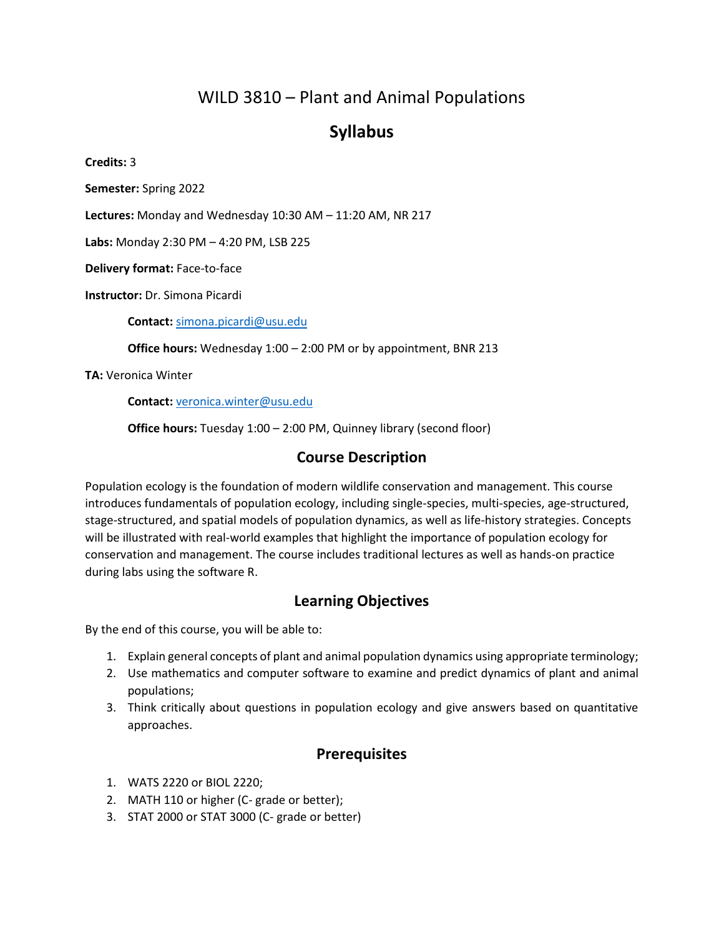# WILD 3810 – Plant and Animal Populations

# **Syllabus**

**Credits:** 3

**Semester:** Spring 2022

**Lectures:** Monday and Wednesday 10:30 AM – 11:20 AM, NR 217

**Labs:** Monday 2:30 PM – 4:20 PM, LSB 225

**Delivery format:** Face-to-face

**Instructor:** Dr. Simona Picardi

**Contact:** [simona.picardi@usu.edu](mailto:simona.picardi@usu.edu)

**Office hours:** Wednesday 1:00 – 2:00 PM or by appointment, BNR 213

**TA:** Veronica Winter

**Contact:** [veronica.winter@usu.edu](mailto:veronica.winter@usu.edu)

**Office hours:** Tuesday 1:00 - 2:00 PM, Quinney library (second floor)

### **Course Description**

Population ecology is the foundation of modern wildlife conservation and management. This course introduces fundamentals of population ecology, including single-species, multi-species, age-structured, stage-structured, and spatial models of population dynamics, as well as life-history strategies. Concepts will be illustrated with real-world examples that highlight the importance of population ecology for conservation and management. The course includes traditional lectures as well as hands-on practice during labs using the software R.

### **Learning Objectives**

By the end of this course, you will be able to:

- 1. Explain general concepts of plant and animal population dynamics using appropriate terminology;
- 2. Use mathematics and computer software to examine and predict dynamics of plant and animal populations;
- 3. Think critically about questions in population ecology and give answers based on quantitative approaches.

### **Prerequisites**

- 1. WATS 2220 or BIOL 2220;
- 2. MATH 110 or higher (C- grade or better);
- 3. STAT 2000 or STAT 3000 (C- grade or better)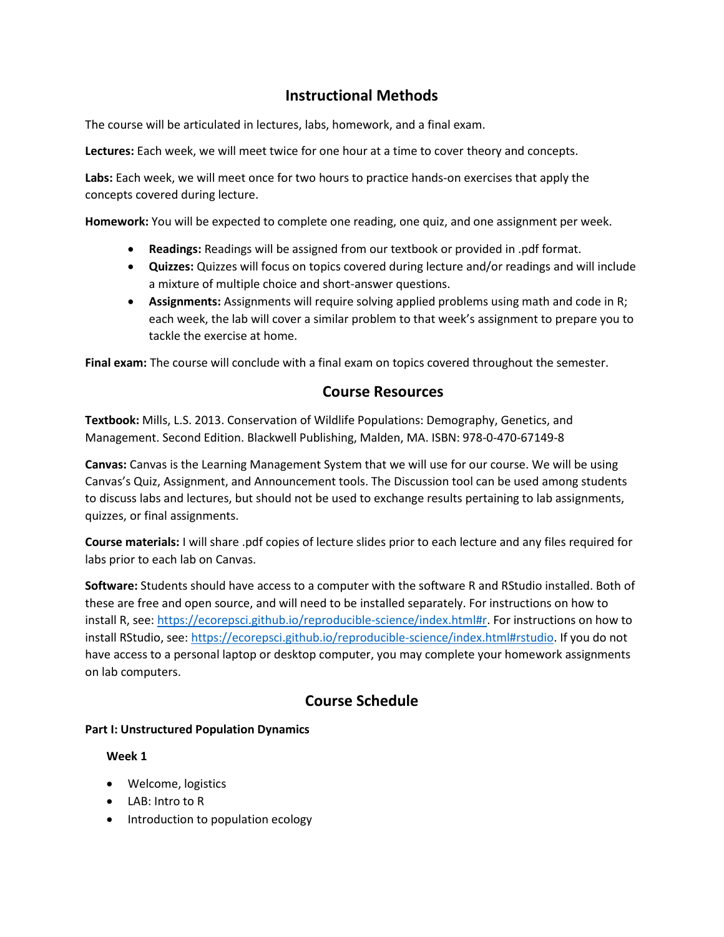## **Instructional Methods**

The course will be articulated in lectures, labs, homework, and a final exam.

**Lectures:** Each week, we will meet twice for one hour at a time to cover theory and concepts.

**Labs:** Each week, we will meet once for two hours to practice hands-on exercises that apply the concepts covered during lecture.

**Homework:** You will be expected to complete one reading, one quiz, and one assignment per week.

- **Readings:** Readings will be assigned from our textbook or provided in .pdf format.
- **Quizzes:** Quizzes will focus on topics covered during lecture and/or readings and will include a mixture of multiple choice and short-answer questions.
- **Assignments:** Assignments will require solving applied problems using math and code in R; each week, the lab will cover a similar problem to that week's assignment to prepare you to tackle the exercise at home.

**Final exam:** The course will conclude with a final exam on topics covered throughout the semester.

### **Course Resources**

**Textbook:** Mills, L.S. 2013. Conservation of Wildlife Populations: Demography, Genetics, and Management. Second Edition. Blackwell Publishing, Malden, MA. ISBN: 978-0-470-67149-8

**Canvas:** Canvas is the Learning Management System that we will use for our course. We will be using Canvas's Quiz, Assignment, and Announcement tools. The Discussion tool can be used among students to discuss labs and lectures, but should not be used to exchange results pertaining to lab assignments, quizzes, or final assignments.

**Course materials:** I will share .pdf copies of lecture slides prior to each lecture and any files required for labs prior to each lab on Canvas.

**Software:** Students should have access to a computer with the software R and RStudio installed. Both of these are free and open source, and will need to be installed separately. For instructions on how to install R, see: [https://ecorepsci.github.io/reproducible-science/index.html#r.](https://ecorepsci.github.io/reproducible-science/index.html#r) For instructions on how to install RStudio, see[: https://ecorepsci.github.io/reproducible-science/index.html#rstudio.](https://ecorepsci.github.io/reproducible-science/index.html#rstudio) If you do not have access to a personal laptop or desktop computer, you may complete your homework assignments on lab computers.

# **Course Schedule**

#### **Part I: Unstructured Population Dynamics**

#### **Week 1**

- Welcome, logistics
- LAB: Intro to R
- Introduction to population ecology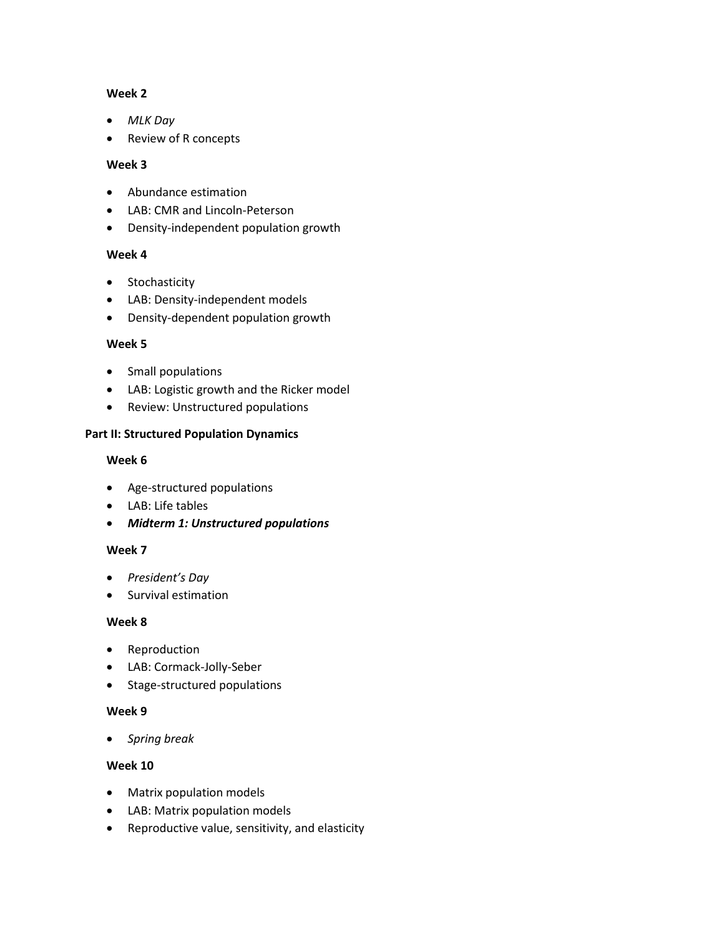#### **Week 2**

- *MLK Day*
- Review of R concepts

#### **Week 3**

- Abundance estimation
- LAB: CMR and Lincoln-Peterson
- Density-independent population growth

#### **Week 4**

- Stochasticity
- LAB: Density-independent models
- Density-dependent population growth

#### **Week 5**

- Small populations
- LAB: Logistic growth and the Ricker model
- Review: Unstructured populations

#### **Part II: Structured Population Dynamics**

#### **Week 6**

- Age-structured populations
- LAB: Life tables
- *Midterm 1: Unstructured populations*

#### **Week 7**

- *President's Day*
- Survival estimation

#### **Week 8**

- Reproduction
- LAB: Cormack-Jolly-Seber
- Stage-structured populations

#### **Week 9**

• *Spring break*

#### **Week 10**

- Matrix population models
- LAB: Matrix population models
- Reproductive value, sensitivity, and elasticity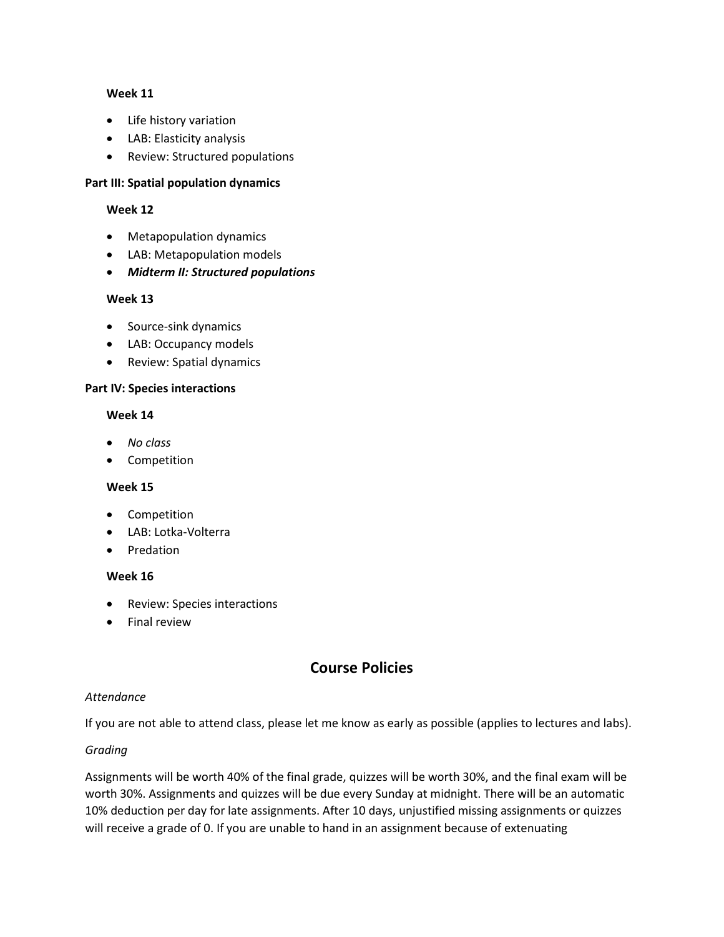#### **Week 11**

- Life history variation
- LAB: Elasticity analysis
- Review: Structured populations

#### **Part III: Spatial population dynamics**

#### **Week 12**

- Metapopulation dynamics
- LAB: Metapopulation models
- *Midterm II: Structured populations*

#### **Week 13**

- Source-sink dynamics
- LAB: Occupancy models
- Review: Spatial dynamics

#### **Part IV: Species interactions**

#### **Week 14**

- *No class*
- Competition

#### **Week 15**

- Competition
- LAB: Lotka-Volterra
- Predation

#### **Week 16**

- Review: Species interactions
- Final review

# **Course Policies**

#### *Attendance*

If you are not able to attend class, please let me know as early as possible (applies to lectures and labs).

#### *Grading*

Assignments will be worth 40% of the final grade, quizzes will be worth 30%, and the final exam will be worth 30%. Assignments and quizzes will be due every Sunday at midnight. There will be an automatic 10% deduction per day for late assignments. After 10 days, unjustified missing assignments or quizzes will receive a grade of 0. If you are unable to hand in an assignment because of extenuating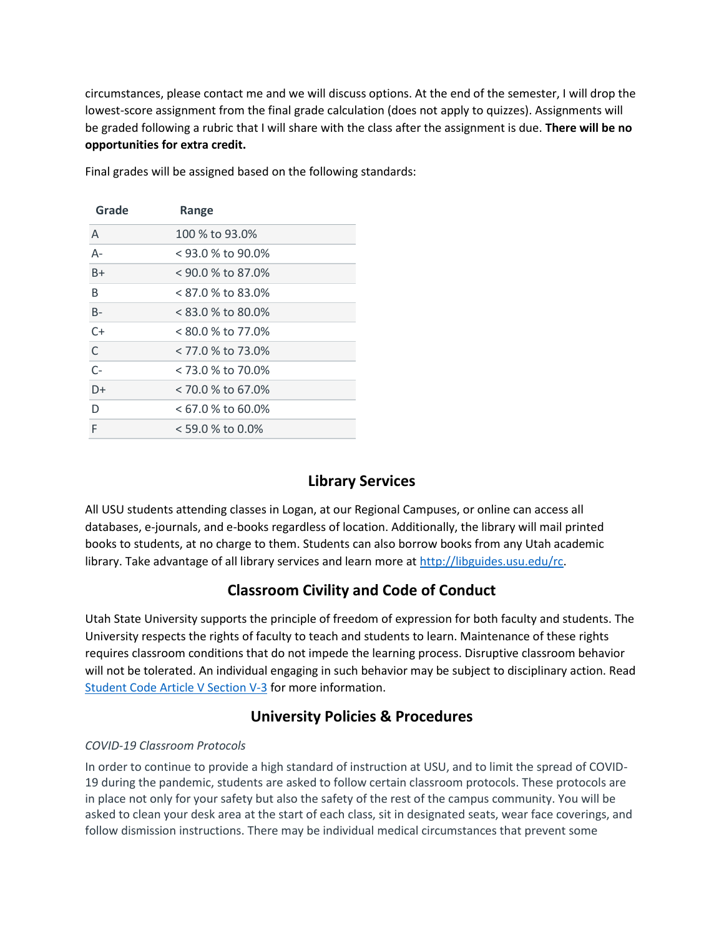circumstances, please contact me and we will discuss options. At the end of the semester, I will drop the lowest-score assignment from the final grade calculation (does not apply to quizzes). Assignments will be graded following a rubric that I will share with the class after the assignment is due. **There will be no opportunities for extra credit.**

| Grade        | Range               |
|--------------|---------------------|
| A            | 100 % to 93.0%      |
| А-           | < 93.0 % to 90.0%   |
| $B+$         | < 90.0 % to 87.0%   |
| B            | < 87.0 % to 83.0%   |
| $B -$        | < 83.0 % to 80.0%   |
| $C+$         | < 80.0 % to 77.0%   |
| $\mathsf{C}$ | < 77.0 % to 73.0%   |
| $C-$         | < 73.0 % to 70.0%   |
| $D+$         | $< 70.0 %$ to 67.0% |
| D            | $< 67.0$ % to 60.0% |
| F            | $<$ 59.0 % to 0.0%  |

Final grades will be assigned based on the following standards:

# **Library Services**

All USU students attending classes in Logan, at our Regional Campuses, or online can access all databases, e-journals, and e-books regardless of location. Additionally, the library will mail printed books to students, at no charge to them. Students can also borrow books from any Utah academic library. Take advantage of all library services and learn more at [http://libguides.usu.edu/rc.](http://libguides.usu.edu/rc)

### **Classroom Civility and Code of Conduct**

Utah State University supports the principle of freedom of expression for both faculty and students. The University respects the rights of faculty to teach and students to learn. Maintenance of these rights requires classroom conditions that do not impede the learning process. Disruptive classroom behavior will not be tolerated. An individual engaging in such behavior may be subject to disciplinary action. Read [Student Code Article V Section V-3](https://studentconduct.usu.edu/studentcode/article5) for more information.

# **University Policies & Procedures**

#### *COVID-19 Classroom Protocols*

In order to continue to provide a high standard of instruction at USU, and to limit the spread of COVID-19 during the pandemic, students are asked to follow certain classroom protocols. These protocols are in place not only for your safety but also the safety of the rest of the campus community. You will be asked to clean your desk area at the start of each class, sit in designated seats, wear face coverings, and follow dismission instructions. There may be individual medical circumstances that prevent some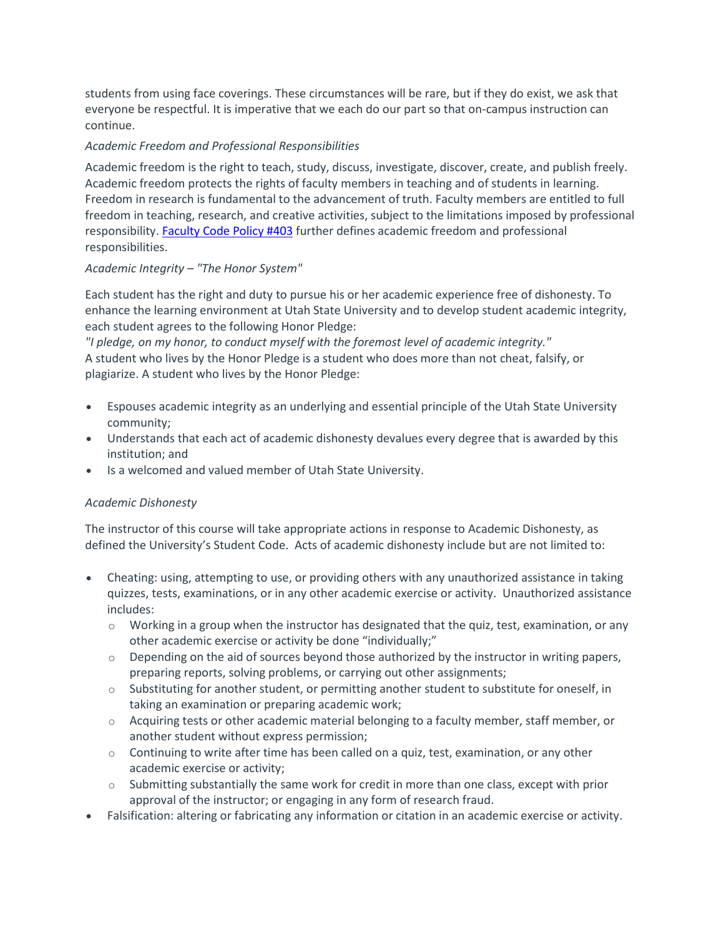students from using face coverings. These circumstances will be rare, but if they do exist, we ask that everyone be respectful. It is imperative that we each do our part so that on-campus instruction can continue.

#### *Academic Freedom and Professional Responsibilities*

Academic freedom is the right to teach, study, discuss, investigate, discover, create, and publish freely. Academic freedom protects the rights of faculty members in teaching and of students in learning. Freedom in research is fundamental to the advancement of truth. Faculty members are entitled to full freedom in teaching, research, and creative activities, subject to the limitations imposed by professional responsibility. [Faculty](http://www.usu.edu/hr/files/uploads/Policies/403.pdf) Code Policy #403 further defines academic freedom and professional responsibilities.

#### *Academic Integrity – "The Honor System"*

Each student has the right and duty to pursue his or her academic experience free of dishonesty. To enhance the learning environment at Utah State University and to develop student academic integrity, each student agrees to the following Honor Pledge:

*"I pledge, on my honor, to conduct myself with the foremost level of academic integrity."* A student who lives by the Honor Pledge is a student who does more than not cheat, falsify, or plagiarize. A student who lives by the Honor Pledge:

- Espouses academic integrity as an underlying and essential principle of the Utah State University community;
- Understands that each act of academic dishonesty devalues every degree that is awarded by this institution; and
- Is a welcomed and valued member of Utah State University.

#### *Academic Dishonesty*

The instructor of this course will take appropriate actions in response to Academic Dishonesty, as defined the University's Student Code. Acts of academic dishonesty include but are not limited to:

- Cheating: using, attempting to use, or providing others with any unauthorized assistance in taking quizzes, tests, examinations, or in any other academic exercise or activity. Unauthorized assistance includes:
	- $\circ$  Working in a group when the instructor has designated that the quiz, test, examination, or any other academic exercise or activity be done "individually;"
	- $\circ$  Depending on the aid of sources beyond those authorized by the instructor in writing papers, preparing reports, solving problems, or carrying out other assignments;
	- o Substituting for another student, or permitting another student to substitute for oneself, in taking an examination or preparing academic work;
	- o Acquiring tests or other academic material belonging to a faculty member, staff member, or another student without express permission;
	- $\circ$  Continuing to write after time has been called on a quiz, test, examination, or any other academic exercise or activity;
	- $\circ$  Submitting substantially the same work for credit in more than one class, except with prior approval of the instructor; or engaging in any form of research fraud.
- Falsification: altering or fabricating any information or citation in an academic exercise or activity.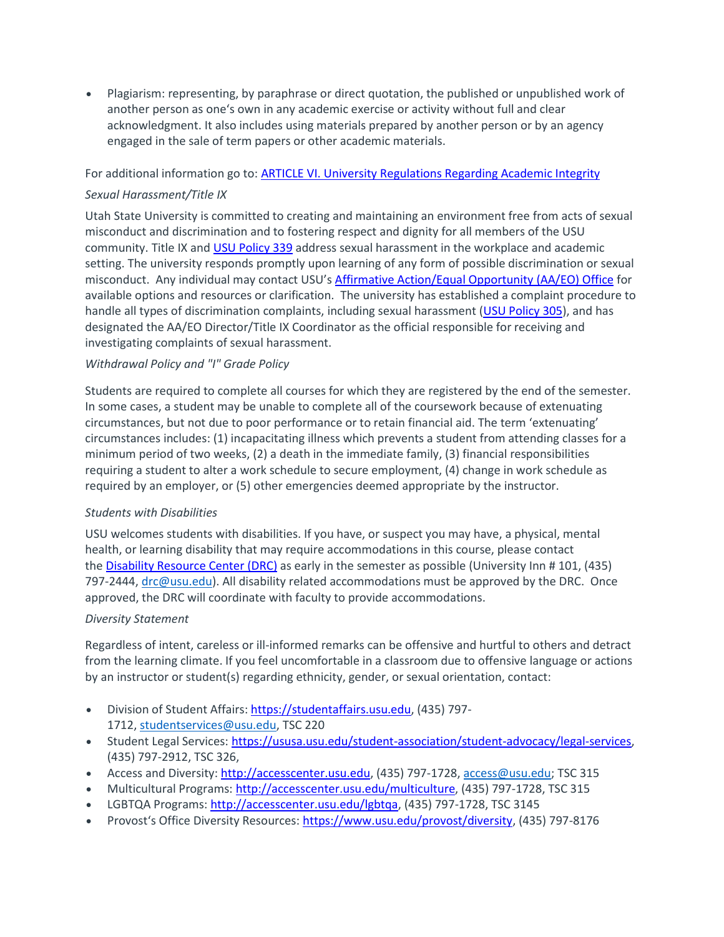• Plagiarism: representing, by paraphrase or direct quotation, the published or unpublished work of another person as one's own in any academic exercise or activity without full and clear acknowledgment. It also includes using materials prepared by another person or by an agency engaged in the sale of term papers or other academic materials.

For additional information go to: **ARTICLE VI. University [Regulations](https://studentconduct.usu.edu/studentcode/article6) Regarding Academic Integrity** 

#### *Sexual Harassment/Title IX*

Utah State University is committed to creating and maintaining an environment free from acts of sexual misconduct and discrimination and to fostering respect and dignity for all members of the USU community. Title IX and USU [Policy](http://www.usu.edu/policies/339) 339 address sexual harassment in the workplace and academic setting. The university responds promptly upon learning of any form of possible discrimination or sexual misconduct. Any individual may contact USU's Affirmative [Action/Equal](http://aaeo.usu.edu/) Opportunity (AA/EO) Office for available options and resources or clarification. The university has established a complaint procedure to handle all types of discrimination complaints, including sexual harassment (USU [Policy](http://www.usu.edu/policies/305/) 305), and has designated the AA/EO Director/Title IX Coordinator as the official responsible for receiving and investigating complaints of sexual harassment.

#### *Withdrawal Policy and "I" Grade Policy*

Students are required to complete all courses for which they are registered by the end of the semester. In some cases, a student may be unable to complete all of the coursework because of extenuating circumstances, but not due to poor performance or to retain financial aid. The term 'extenuating' circumstances includes: (1) incapacitating illness which prevents a student from attending classes for a minimum period of two weeks, (2) a death in the immediate family, (3) financial responsibilities requiring a student to alter a work schedule to secure employment, (4) change in work schedule as required by an employer, or (5) other emergencies deemed appropriate by the instructor.

#### *Students with Disabilities*

USU welcomes students with disabilities. If you have, or suspect you may have, a physical, mental health, or learning disability that may require accommodations in this course, please contact the Disability [Resource](http://www.usu.edu/drc/) Center (DRC) as early in the semester as possible (University Inn # 101, (435) 797-2444, [drc@usu.edu\)](mailto:drc@usu.edu). All disability related accommodations must be approved by the DRC. Once approved, the DRC will coordinate with faculty to provide accommodations.

#### *Diversity Statement*

Regardless of intent, careless or ill-informed remarks can be offensive and hurtful to others and detract from the learning climate. If you feel uncomfortable in a classroom due to offensive language or actions by an instructor or student(s) regarding ethnicity, gender, or sexual orientation, contact:

- Division of Student Affairs: [https://studentaffairs.usu.edu,](https://studentaffairs.usu.edu/) (435) 797-1712, [studentservices@usu.edu,](mailto:studentservices@usu.edu) TSC 220
- Student Legal Services: [https://ususa.usu.edu/student-association/student-advocacy/legal-services,](https://ususa.usu.edu/student-association/student-advocacy/legal-services) (435) 797-2912, TSC 326,
- Access and Diversity: [http://accesscenter.usu.edu,](http://accesscenter.usu.edu/) (435) 797-1728, [access@usu.edu;](mailto:access@usu.edu) TSC 315
- Multicultural Programs: [http://accesscenter.usu.edu/multiculture,](http://accesscenter.usu.edu/multiculture) (435) 797-1728, TSC 315
- LGBTQA Programs: [http://accesscenter.usu.edu/lgbtqa,](http://accesscenter.usu.edu/lgbtqa/) (435) 797-1728, TSC 3145
- Provost's Office Diversity Resources: [https://www.usu.edu/provost/diversity,](https://www.usu.edu/provost/diversity/) (435) 797-8176